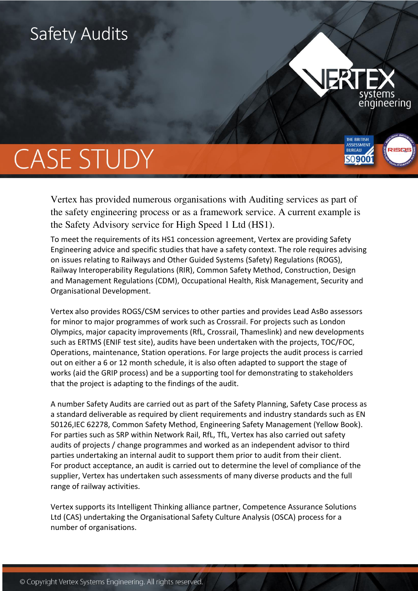## Safety Audits



**THE BRITISH** 

**BUREAU** SO**900** 

# **CASE STUDY**

Vertex has provided numerous organisations with Auditing services as part of the safety engineering process or as a framework service. A current example is the Safety Advisory service for High Speed 1 Ltd (HS1).

To meet the requirements of its HS1 concession agreement, Vertex are providing Safety Engineering advice and specific studies that have a safety context. The role requires advising on issues relating to Railways and Other Guided Systems (Safety) Regulations (ROGS), Railway Interoperability Regulations (RIR), Common Safety Method, Construction, Design and Management Regulations (CDM), Occupational Health, Risk Management, Security and Organisational Development.

Vertex also provides ROGS/CSM services to other parties and provides Lead AsBo assessors for minor to major programmes of work such as Crossrail. For projects such as London Olympics, major capacity improvements (RfL, Crossrail, Thameslink) and new developments such as ERTMS (ENIF test site), audits have been undertaken with the projects, TOC/FOC, Operations, maintenance, Station operations. For large projects the audit process is carried out on either a 6 or 12 month schedule, it is also often adapted to support the stage of works (aid the GRIP process) and be a supporting tool for demonstrating to stakeholders that the project is adapting to the findings of the audit.

A number Safety Audits are carried out as part of the Safety Planning, Safety Case process as a standard deliverable as required by client requirements and industry standards such as EN 50126,IEC 62278, Common Safety Method, Engineering Safety Management (Yellow Book). For parties such as SRP within Network Rail, RfL, TfL, Vertex has also carried out safety audits of projects / change programmes and worked as an independent advisor to third parties undertaking an internal audit to support them prior to audit from their client. For product acceptance, an audit is carried out to determine the level of compliance of the supplier, Vertex has undertaken such assessments of many diverse products and the full range of railway activities.

Vertex supports its Intelligent Thinking alliance partner, Competence Assurance Solutions Ltd (CAS) undertaking the Organisational Safety Culture Analysis (OSCA) process for a number of organisations.